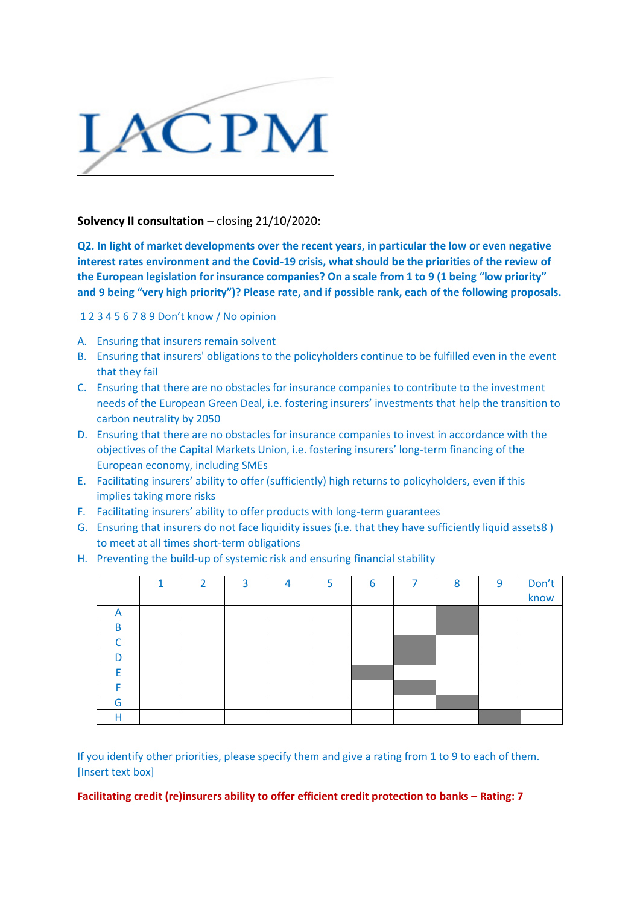

## **Solvency II consultation** – closing 21/10/2020:

**Q2. In light of market developments over the recent years, in particular the low or even negative interest rates environment and the Covid-19 crisis, what should be the priorities of the review of the European legislation for insurance companies? On a scale from 1 to 9 (1 being "low priority" and 9 being "very high priority")? Please rate, and if possible rank, each of the following proposals.**

1 2 3 4 5 6 7 8 9 Don't know / No opinion

- A. Ensuring that insurers remain solvent
- B. Ensuring that insurers' obligations to the policyholders continue to be fulfilled even in the event that they fail
- C. Ensuring that there are no obstacles for insurance companies to contribute to the investment needs of the European Green Deal, i.e. fostering insurers' investments that help the transition to carbon neutrality by 2050
- D. Ensuring that there are no obstacles for insurance companies to invest in accordance with the objectives of the Capital Markets Union, i.e. fostering insurers' long-term financing of the European economy, including SMEs
- E. Facilitating insurers' ability to offer (sufficiently) high returns to policyholders, even if this implies taking more risks
- F. Facilitating insurers' ability to offer products with long-term guarantees
- G. Ensuring that insurers do not face liquidity issues (i.e. that they have sufficiently liquid assets8 ) to meet at all times short-term obligations
- H. Preventing the build-up of systemic risk and ensuring financial stability

|   | и | $\mathbf{D}$ | २ | Δ | 5 | 6 | ⇁ | $\circ$ | 9 | Don't |
|---|---|--------------|---|---|---|---|---|---------|---|-------|
|   |   |              |   |   |   |   |   |         |   | know  |
| A |   |              |   |   |   |   |   |         |   |       |
| B |   |              |   |   |   |   |   |         |   |       |
| ⌒ |   |              |   |   |   |   |   |         |   |       |
| n |   |              |   |   |   |   |   |         |   |       |
|   |   |              |   |   |   |   |   |         |   |       |
|   |   |              |   |   |   |   |   |         |   |       |
| G |   |              |   |   |   |   |   |         |   |       |
|   |   |              |   |   |   |   |   |         |   |       |

If you identify other priorities, please specify them and give a rating from 1 to 9 to each of them. [Insert text box]

**Facilitating credit (re)insurers ability to offer efficient credit protection to banks – Rating: 7**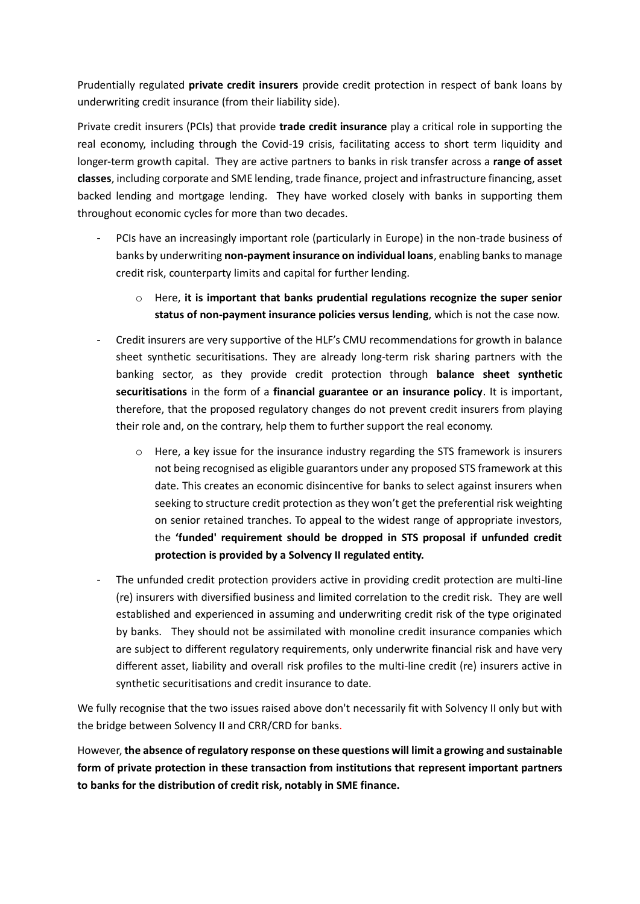Prudentially regulated **private credit insurers** provide credit protection in respect of bank loans by underwriting credit insurance (from their liability side).

Private credit insurers (PCIs) that provide **trade credit insurance** play a critical role in supporting the real economy, including through the Covid-19 crisis, facilitating access to short term liquidity and longer-term growth capital. They are active partners to banks in risk transfer across a **range of asset classes**, including corporate and SME lending, trade finance, project and infrastructure financing, asset backed lending and mortgage lending. They have worked closely with banks in supporting them throughout economic cycles for more than two decades.

- PCIs have an increasingly important role (particularly in Europe) in the non-trade business of banks by underwriting **non-payment insurance on individual loans**, enabling banks to manage credit risk, counterparty limits and capital for further lending.
	- o Here, **it is important that banks prudential regulations recognize the super senior status of non-payment insurance policies versus lending**, which is not the case now.
- Credit insurers are very supportive of the HLF's CMU recommendations for growth in balance sheet synthetic securitisations. They are already long-term risk sharing partners with the banking sector, as they provide credit protection through **balance sheet synthetic securitisations** in the form of a **financial guarantee or an insurance policy**. It is important, therefore, that the proposed regulatory changes do not prevent credit insurers from playing their role and, on the contrary, help them to further support the real economy.
	- $\circ$  Here, a key issue for the insurance industry regarding the STS framework is insurers not being recognised as eligible guarantors under any proposed STS framework at this date. This creates an economic disincentive for banks to select against insurers when seeking to structure credit protection as they won't get the preferential risk weighting on senior retained tranches. To appeal to the widest range of appropriate investors, the **'funded' requirement should be dropped in STS proposal if unfunded credit protection is provided by a Solvency II regulated entity.**
- The unfunded credit protection providers active in providing credit protection are multi-line (re) insurers with diversified business and limited correlation to the credit risk. They are well established and experienced in assuming and underwriting credit risk of the type originated by banks. They should not be assimilated with monoline credit insurance companies which are subject to different regulatory requirements, only underwrite financial risk and have very different asset, liability and overall risk profiles to the multi-line credit (re) insurers active in synthetic securitisations and credit insurance to date.

We fully recognise that the two issues raised above don't necessarily fit with Solvency II only but with the bridge between Solvency II and CRR/CRD for banks.

However, **the absence of regulatory response on these questions will limit a growing and sustainable form of private protection in these transaction from institutions that represent important partners to banks for the distribution of credit risk, notably in SME finance.**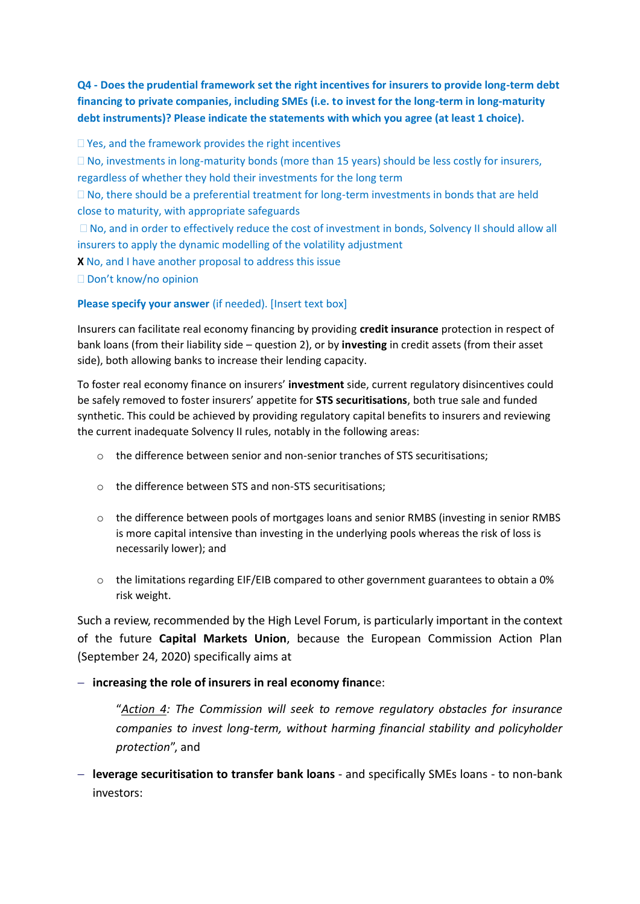**Q4 - Does the prudential framework set the right incentives for insurers to provide long-term debt financing to private companies, including SMEs (i.e. to invest for the long-term in long-maturity debt instruments)? Please indicate the statements with which you agree (at least 1 choice).** 

 $\Box$  Yes, and the framework provides the right incentives

 $\Box$  No, investments in long-maturity bonds (more than 15 years) should be less costly for insurers, regardless of whether they hold their investments for the long term

 $\Box$  No, there should be a preferential treatment for long-term investments in bonds that are held close to maturity, with appropriate safeguards

□ No, and in order to effectively reduce the cost of investment in bonds, Solvency II should allow all insurers to apply the dynamic modelling of the volatility adjustment

**X** No, and I have another proposal to address this issue

□ Don't know/no opinion

## **Please specify your answer** (if needed). [Insert text box]

Insurers can facilitate real economy financing by providing **credit insurance** protection in respect of bank loans (from their liability side – question 2), or by **investing** in credit assets (from their asset side), both allowing banks to increase their lending capacity.

To foster real economy finance on insurers' **investment** side, current regulatory disincentives could be safely removed to foster insurers' appetite for **STS securitisations**, both true sale and funded synthetic. This could be achieved by providing regulatory capital benefits to insurers and reviewing the current inadequate Solvency II rules, notably in the following areas:

- o the difference between senior and non-senior tranches of STS securitisations;
- o the difference between STS and non-STS securitisations;
- o the difference between pools of mortgages loans and senior RMBS (investing in senior RMBS is more capital intensive than investing in the underlying pools whereas the risk of loss is necessarily lower); and
- $\circ$  the limitations regarding EIF/EIB compared to other government guarantees to obtain a 0% risk weight.

Such a review, recommended by the High Level Forum, is particularly important in the context of the future **Capital Markets Union**, because the European Commission Action Plan (September 24, 2020) specifically aims at

## − **increasing the role of insurers in real economy financ**e:

"*Action 4: The Commission will seek to remove regulatory obstacles for insurance companies to invest long-term, without harming financial stability and policyholder protection*", and

− **leverage securitisation to transfer bank loans** - and specifically SMEs loans - to non-bank investors: